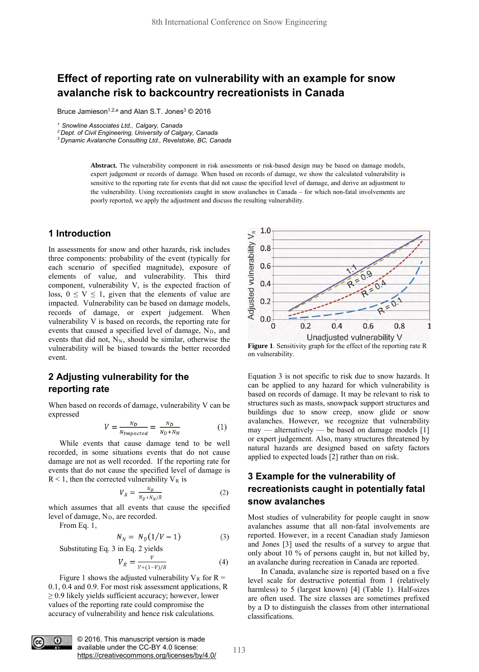# **Effect of reporting rate on vulnerability with an example for snow avalanche risk to backcountry recreationists in Canada**

Bruce Jamieson<sup>1,2,a</sup> and Alan S.T. Jones<sup>3</sup> © 2016

*<sup>1</sup> Snowline Associates Ltd., Calgary, Canada 2 Dept. of Civil Engineering, University of Calgary, Canada*

*3 Dynamic Avalanche Consulting Ltd., Revelstoke, BC, Canada* 

**Abstract.** The vulnerability component in risk assessments or risk-based design may be based on damage models, expert judgement or records of damage. When based on records of damage, we show the calculated vulnerability is sensitive to the reporting rate for events that did not cause the specified level of damage, and derive an adjustment to the vulnerability. Using recreationists caught in snow avalanches in Canada – for which non-fatal involvements are poorly reported, we apply the adjustment and discuss the resulting vulnerability.

### **1 Introduction**

In assessments for snow and other hazards, risk includes three components: probability of the event (typically for each scenario of specified magnitude), exposure of elements of value, and vulnerability. This third component, vulnerability V, is the expected fraction of loss,  $0 \le V \le 1$ , given that the elements of value are impacted. Vulnerability can be based on damage models, records of damage, or expert judgement. When vulnerability V is based on records, the reporting rate for events that caused a specified level of damage,  $N_D$ , and events that did not,  $N_N$ , should be similar, otherwise the vulnerability will be biased towards the better recorded event.

## **2 Adjusting vulnerability for the reporting rate**

When based on records of damage, vulnerability V can be expressed

$$
V = \frac{N_D}{N_{Impacted}} = \frac{N_D}{N_D + N_N} \tag{1}
$$

While events that cause damage tend to be well recorded, in some situations events that do not cause damage are not as well recorded. If the reporting rate for events that do not cause the specified level of damage is  $R < 1$ , then the corrected vulnerability  $V_R$  is

$$
V_R = \frac{N_D}{N_D + N_N/R} \tag{2}
$$

which assumes that all events that cause the specified level of damage,  $N_D$ , are recorded.

From Eq. 1,

$$
N_N = N_D(1/V - 1)
$$
 (3)

Substituting Eq. 3 in Eq. 2 yields

$$
V_R = \frac{V}{V + (1 - V)/R} \tag{4}
$$

Figure 1 shows the adjusted vulnerability  $V_R$  for R = 0.1, 0.4 and 0.9. For most risk assessment applications, R  $\geq$  0.9 likely yields sufficient accuracy; however, lower values of the reporting rate could compromise the accuracy of vulnerability and hence risk calculations.



**Figure 1**. Sensitivity graph for the effect of the reporting rate R on vulnerability.

Equation 3 is not specific to risk due to snow hazards. It can be applied to any hazard for which vulnerability is based on records of damage. It may be relevant to risk to structures such as masts, snowpack support structures and buildings due to snow creep, snow glide or snow avalanches. However, we recognize that vulnerability  $may$  — alternatively — be based on damage models [1] or expert judgement. Also, many structures threatened by natural hazards are designed based on safety factors applied to expected loads [2] rather than on risk.

# **3 Example for the vulnerability of recreationists caught in potentially fatal snow avalanches**

Most studies of vulnerability for people caught in snow avalanches assume that all non-fatal involvements are reported. However, in a recent Canadian study Jamieson and Jones [3] used the results of a survey to argue that only about 10 % of persons caught in, but not killed by, an avalanche during recreation in Canada are reported.

In Canada, avalanche size is reported based on a five level scale for destructive potential from 1 (relatively harmless) to 5 (largest known) [4] (Table 1). Half-sizes are often used. The size classes are sometimes prefixed by a D to distinguish the classes from other international classifications.



© 2016. This manuscript version is made available under the CC-BY 4.0 license: https://creativecommons.org/licenses/by/4.0/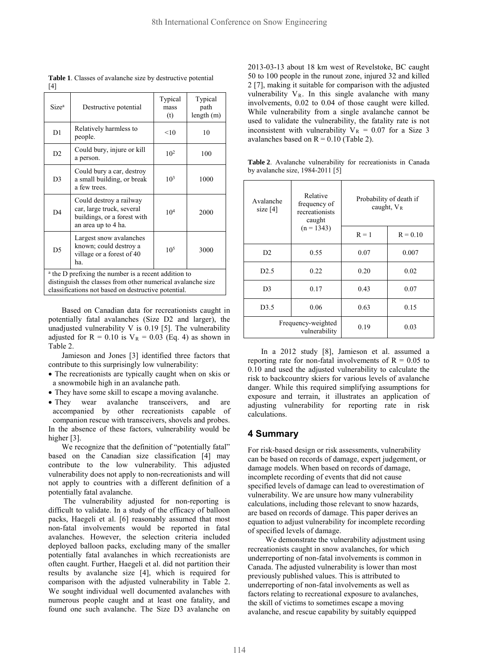| Size <sup>a</sup>                                                                                                                                                                     | Destructive potential                                                                                      | Typical<br>mass<br>(t) | Typical<br>path<br>length(m) |  |
|---------------------------------------------------------------------------------------------------------------------------------------------------------------------------------------|------------------------------------------------------------------------------------------------------------|------------------------|------------------------------|--|
| D1                                                                                                                                                                                    | Relatively harmless to<br>people.                                                                          | <10                    | 10                           |  |
| D2                                                                                                                                                                                    | Could bury, injure or kill<br>a person.                                                                    | 10 <sup>2</sup>        | 100                          |  |
| D <sub>3</sub>                                                                                                                                                                        | Could bury a car, destroy<br>a small building, or break<br>a few trees.                                    | 10 <sup>3</sup>        | 1000                         |  |
| D <sub>4</sub>                                                                                                                                                                        | Could destroy a railway<br>car, large truck, several<br>buildings, or a forest with<br>an area up to 4 ha. | 10 <sup>4</sup>        | 2000                         |  |
| D <sub>5</sub>                                                                                                                                                                        | Largest snow avalanches<br>known; could destroy a<br>village or a forest of 40<br>ha                       | $10^{5}$               | 3000                         |  |
| <sup>a</sup> the D prefixing the number is a recent addition to<br>distinguish the classes from other numerical avalanche size<br>classifications not based on destructive potential. |                                                                                                            |                        |                              |  |

**Table 1**. Classes of avalanche size by destructive potential [4]

Based on Canadian data for recreationists caught in potentially fatal avalanches (Size D2 and larger), the unadjusted vulnerability V is 0.19 [5]. The vulnerability adjusted for  $R = 0.10$  is  $V_R = 0.03$  (Eq. 4) as shown in Table 2.

Jamieson and Jones [3] identified three factors that contribute to this surprisingly low vulnerability:

- The recreationists are typically caught when on skis or a snowmobile high in an avalanche path.
- They have some skill to escape a moving avalanche.
- They wear avalanche transceivers, and are accompanied by other recreationists capable of companion rescue with transceivers, shovels and probes. In the absence of these factors, vulnerability would be higher [3].

We recognize that the definition of "potentially fatal" based on the Canadian size classification [4] may contribute to the low vulnerability. This adjusted vulnerability does not apply to non-recreationists and will not apply to countries with a different definition of a potentially fatal avalanche.

 The vulnerability adjusted for non-reporting is difficult to validate. In a study of the efficacy of balloon packs, Haegeli et al. [6] reasonably assumed that most non-fatal involvements would be reported in fatal avalanches. However, the selection criteria included deployed balloon packs, excluding many of the smaller potentially fatal avalanches in which recreationists are often caught. Further, Haegeli et al. did not partition their results by avalanche size [4], which is required for comparison with the adjusted vulnerability in Table 2. We sought individual well documented avalanches with numerous people caught and at least one fatality, and found one such avalanche. The Size D3 avalanche on

2013-03-13 about 18 km west of Revelstoke, BC caught 50 to 100 people in the runout zone, injured 32 and killed 2 [7], making it suitable for comparison with the adjusted vulnerability  $V_R$ . In this single avalanche with many involvements, 0.02 to 0.04 of those caught were killed. While vulnerability from a single avalanche cannot be used to validate the vulnerability, the fatality rate is not inconsistent with vulnerability  $V_R = 0.07$  for a Size 3 avalanches based on  $R = 0.10$  (Table 2).

**Table 2**. Avalanche vulnerability for recreationists in Canada by avalanche size, 1984-2011 [5]

| Avalanche<br>size $[4]$ | Relative<br>frequency of<br>recreationists<br>caught<br>$(n = 1343)$ | Probability of death if<br>caught, $V_R$ |            |
|-------------------------|----------------------------------------------------------------------|------------------------------------------|------------|
|                         |                                                                      | $R = 1$                                  | $R = 0.10$ |
| D2                      | 0.55                                                                 | 0.07                                     | 0.007      |
| D2.5                    | 0.22                                                                 | 0.20                                     | 0.02       |
| D <sub>3</sub>          | 0.17                                                                 | 0.43                                     | 0.07       |
| D3.5                    | 0.06                                                                 | 0.63                                     | 0.15       |
|                         | Frequency-weighted<br>vulnerability                                  | 0.19                                     | 0.03       |

In a 2012 study [8], Jamieson et al. assumed a reporting rate for non-fatal involvements of  $R = 0.05$  to 0.10 and used the adjusted vulnerability to calculate the risk to backcountry skiers for various levels of avalanche danger. While this required simplifying assumptions for exposure and terrain, it illustrates an application of adjusting vulnerability for reporting rate in risk calculations.

#### **4 Summary**

For risk-based design or risk assessments, vulnerability can be based on records of damage, expert judgement, or damage models. When based on records of damage, incomplete recording of events that did not cause specified levels of damage can lead to overestimation of vulnerability. We are unsure how many vulnerability calculations, including those relevant to snow hazards, are based on records of damage. This paper derives an equation to adjust vulnerability for incomplete recording of specified levels of damage.

We demonstrate the vulnerability adjustment using recreationists caught in snow avalanches, for which underreporting of non-fatal involvements is common in Canada. The adjusted vulnerability is lower than most previously published values. This is attributed to underreporting of non-fatal involvements as well as factors relating to recreational exposure to avalanches, the skill of victims to sometimes escape a moving avalanche, and rescue capability by suitably equipped